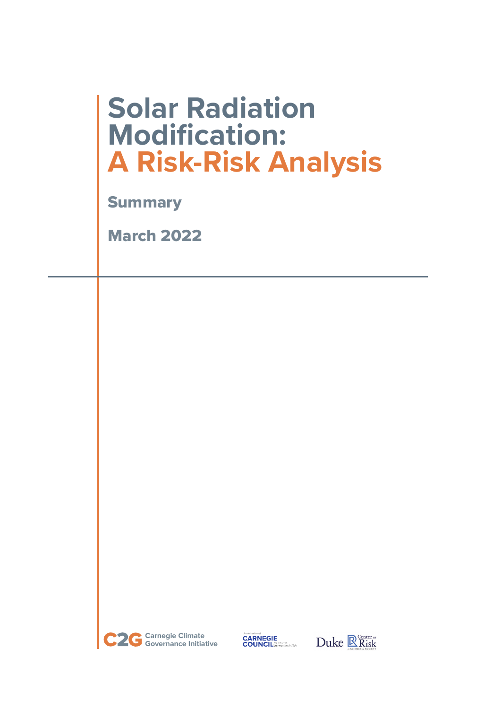# **Solar Radiation Modification: A Risk-Risk Analysis**

**Summary** 

March 2022



*An initiative of*<br>**CARNEGIE**<br>**COUNCIL** *facturational Affairs* 

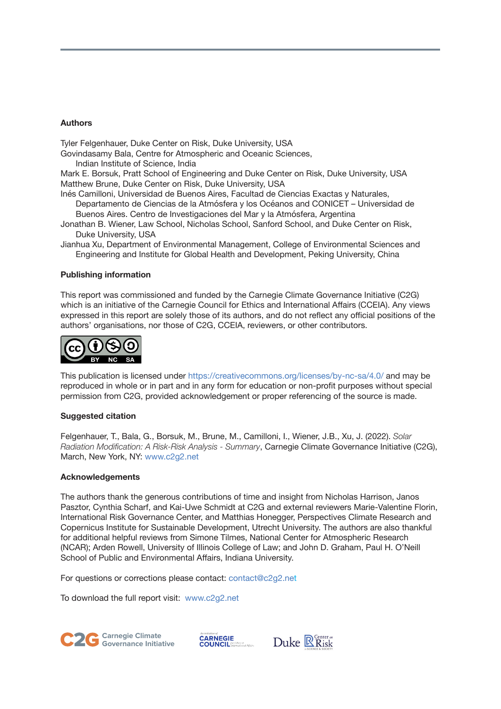### **Authors**

Tyler Felgenhauer, Duke Center on Risk, Duke University, USA

Govindasamy Bala, Centre for Atmospheric and Oceanic Sciences,

Indian Institute of Science, India

Mark E. Borsuk, Pratt School of Engineering and Duke Center on Risk, Duke University, USA Matthew Brune, Duke Center on Risk, Duke University, USA

Inés Camilloni, Universidad de Buenos Aires, Facultad de Ciencias Exactas y Naturales, Departamento de Ciencias de la Atmósfera y los Océanos and CONICET – Universidad de Buenos Aires. Centro de Investigaciones del Mar y la Atmósfera, Argentina

Jonathan B. Wiener, Law School, Nicholas School, Sanford School, and Duke Center on Risk, Duke University, USA

Jianhua Xu, Department of Environmental Management, College of Environmental Sciences and Engineering and Institute for Global Health and Development, Peking University, China

### **Publishing information**

This report was commissioned and funded by the Carnegie Climate Governance Initiative (C2G) which is an initiative of the Carnegie Council for Ethics and International Affairs (CCEIA). Any views expressed in this report are solely those of its authors, and do not reflect any official positions of the authors' organisations, nor those of C2G, CCEIA, reviewers, or other contributors.



This publication is licensed under https://creativecommons.org/licenses/by-nc-sa/4.0/ and may be reproduced in whole or in part and in any form for education or non-profit purposes without special permission from C2G, provided acknowledgement or proper referencing of the source is made.

### **Suggested citation**

Felgenhauer, T., Bala, G., Borsuk, M., Brune, M., Camilloni, I., Wiener, J.B., Xu, J. (2022). *Solar Radiation Modification: A Risk-Risk Analysis - Summary*, Carnegie Climate Governance Initiative (C2G), March, New York, NY: www.c2g2.net

### **Acknowledgements**

The authors thank the generous contributions of time and insight from Nicholas Harrison, Janos Pasztor, Cynthia Scharf, and Kai-Uwe Schmidt at C2G and external reviewers Marie-Valentine Florin, International Risk Governance Center, and Matthias Honegger, Perspectives Climate Research and Copernicus Institute for Sustainable Development, Utrecht University. The authors are also thankful for additional helpful reviews from Simone Tilmes, National Center for Atmospheric Research (NCAR); Arden Rowell, University of Illinois College of Law; and John D. Graham, Paul H. O'Neill School of Public and Environmental Affairs, Indiana University.

For questions or corrections please contact: contact@c2g2.net

To download the full report visit: www.c2g2.net





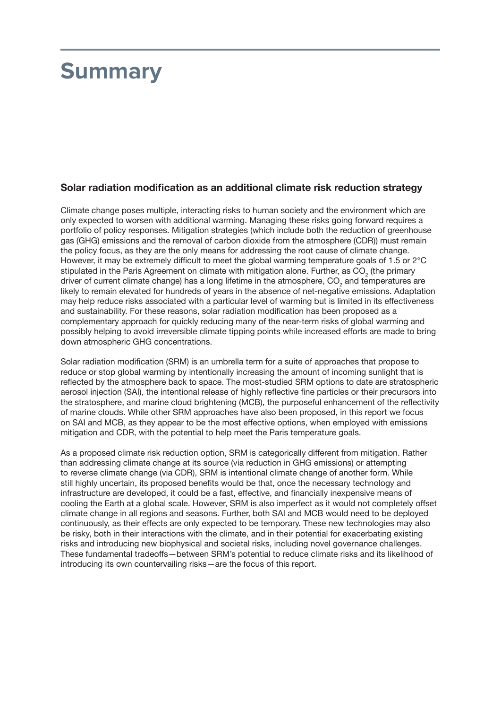## **Summary**

### **Solar radiation modification as an additional climate risk reduction strategy**

Climate change poses multiple, interacting risks to human society and the environment which are only expected to worsen with additional warming. Managing these risks going forward requires a portfolio of policy responses. Mitigation strategies (which include both the reduction of greenhouse gas (GHG) emissions and the removal of carbon dioxide from the atmosphere (CDR)) must remain the policy focus, as they are the only means for addressing the root cause of climate change. However, it may be extremely difficult to meet the global warming temperature goals of 1.5 or 2°C stipulated in the Paris Agreement on climate with mitigation alone. Further, as  $\mathrm{CO}_2$  (the primary driver of current climate change) has a long lifetime in the atmosphere,  $CO<sub>2</sub>$  and temperatures are likely to remain elevated for hundreds of years in the absence of net-negative emissions. Adaptation may help reduce risks associated with a particular level of warming but is limited in its effectiveness and sustainability. For these reasons, solar radiation modification has been proposed as a complementary approach for quickly reducing many of the near-term risks of global warming and possibly helping to avoid irreversible climate tipping points while increased efforts are made to bring down atmospheric GHG concentrations.

Solar radiation modification (SRM) is an umbrella term for a suite of approaches that propose to reduce or stop global warming by intentionally increasing the amount of incoming sunlight that is reflected by the atmosphere back to space. The most-studied SRM options to date are stratospheric aerosol injection (SAI), the intentional release of highly reflective fine particles or their precursors into the stratosphere, and marine cloud brightening (MCB), the purposeful enhancement of the reflectivity of marine clouds. While other SRM approaches have also been proposed, in this report we focus on SAI and MCB, as they appear to be the most effective options, when employed with emissions mitigation and CDR, with the potential to help meet the Paris temperature goals.

As a proposed climate risk reduction option, SRM is categorically different from mitigation. Rather than addressing climate change at its source (via reduction in GHG emissions) or attempting to reverse climate change (via CDR), SRM is intentional climate change of another form. While still highly uncertain, its proposed benefits would be that, once the necessary technology and infrastructure are developed, it could be a fast, effective, and financially inexpensive means of cooling the Earth at a global scale. However, SRM is also imperfect as it would not completely offset climate change in all regions and seasons. Further, both SAI and MCB would need to be deployed continuously, as their effects are only expected to be temporary. These new technologies may also be risky, both in their interactions with the climate, and in their potential for exacerbating existing risks and introducing new biophysical and societal risks, including novel governance challenges. These fundamental tradeoffs—between SRM's potential to reduce climate risks and its likelihood of introducing its own countervailing risks—are the focus of this report.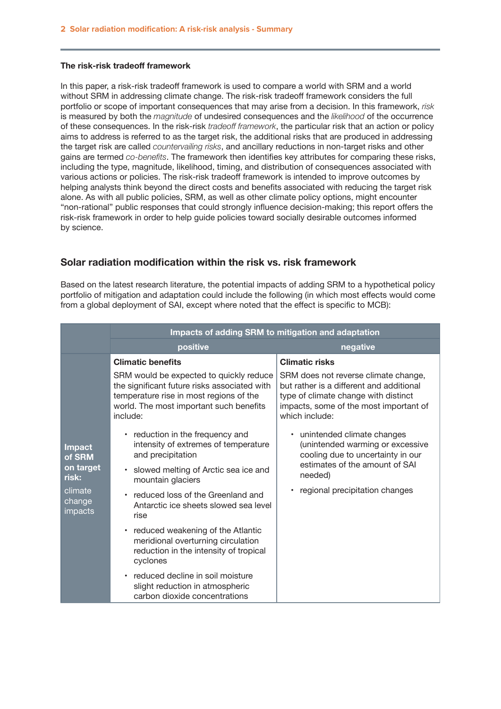#### **The risk-risk tradeoff framework**

In this paper, a risk-risk tradeoff framework is used to compare a world with SRM and a world without SRM in addressing climate change. The risk-risk tradeoff framework considers the full portfolio or scope of important consequences that may arise from a decision. In this framework, *risk*  is measured by both the *magnitude* of undesired consequences and the *likelihood* of the occurrence of these consequences. In the risk-risk *tradeoff framework*, the particular risk that an action or policy aims to address is referred to as the target risk, the additional risks that are produced in addressing the target risk are called *countervailing risks*, and ancillary reductions in non-target risks and other gains are termed *co-benefits*. The framework then identifies key attributes for comparing these risks, including the type, magnitude, likelihood, timing, and distribution of consequences associated with various actions or policies. The risk-risk tradeoff framework is intended to improve outcomes by helping analysts think beyond the direct costs and benefits associated with reducing the target risk alone. As with all public policies, SRM, as well as other climate policy options, might encounter "non-rational" public responses that could strongly influence decision-making; this report offers the risk-risk framework in order to help guide policies toward socially desirable outcomes informed by science.

### **Solar radiation modification within the risk vs. risk framework**

Based on the latest research literature, the potential impacts of adding SRM to a hypothetical policy portfolio of mitigation and adaptation could include the following (in which most effects would come from a global deployment of SAI, except where noted that the effect is specific to MCB):

|                                                                               | Impacts of adding SRM to mitigation and adaptation                                                                                                                                        |                                                                                                                                                                                                 |
|-------------------------------------------------------------------------------|-------------------------------------------------------------------------------------------------------------------------------------------------------------------------------------------|-------------------------------------------------------------------------------------------------------------------------------------------------------------------------------------------------|
|                                                                               | positive                                                                                                                                                                                  | negative                                                                                                                                                                                        |
|                                                                               | <b>Climatic benefits</b>                                                                                                                                                                  | <b>Climatic risks</b>                                                                                                                                                                           |
| <b>Impact</b><br>of SRM<br>on target<br>risk:<br>climate<br>change<br>impacts | SRM would be expected to quickly reduce<br>the significant future risks associated with<br>temperature rise in most regions of the<br>world. The most important such benefits<br>include: | SRM does not reverse climate change,<br>but rather is a different and additional<br>type of climate change with distinct<br>impacts, some of the most important of<br>which include:            |
|                                                                               | • reduction in the frequency and<br>intensity of extremes of temperature<br>and precipitation<br>• slowed melting of Arctic sea ice and                                                   | unintended climate changes<br>$\bullet$<br>(unintended warming or excessive<br>cooling due to uncertainty in our<br>estimates of the amount of SAI<br>needed)<br>regional precipitation changes |
|                                                                               | mountain glaciers                                                                                                                                                                         |                                                                                                                                                                                                 |
|                                                                               | • reduced loss of the Greenland and<br>Antarctic ice sheets slowed sea level<br>rise                                                                                                      |                                                                                                                                                                                                 |
|                                                                               | • reduced weakening of the Atlantic<br>meridional overturning circulation<br>reduction in the intensity of tropical<br>cyclones                                                           |                                                                                                                                                                                                 |
|                                                                               | • reduced decline in soil moisture<br>slight reduction in atmospheric<br>carbon dioxide concentrations                                                                                    |                                                                                                                                                                                                 |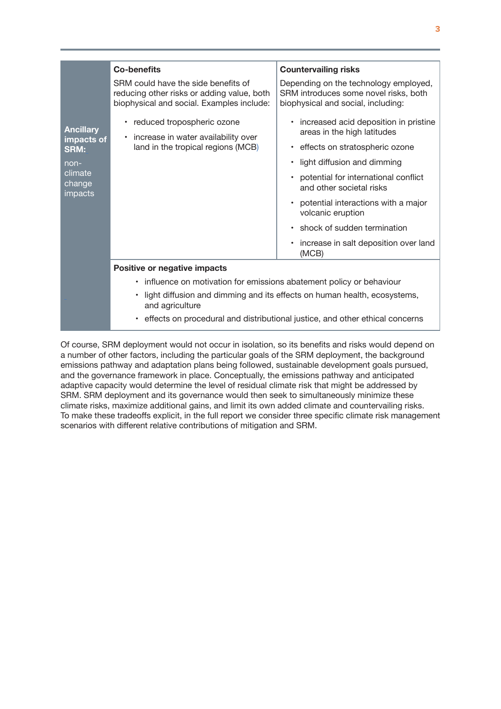|                                                       | <b>Co-benefits</b>                                                                                                                                                                                                                                     | <b>Countervailing risks</b>                                                                                          |
|-------------------------------------------------------|--------------------------------------------------------------------------------------------------------------------------------------------------------------------------------------------------------------------------------------------------------|----------------------------------------------------------------------------------------------------------------------|
|                                                       | SRM could have the side benefits of<br>reducing other risks or adding value, both<br>biophysical and social. Examples include:                                                                                                                         | Depending on the technology employed,<br>SRM introduces some novel risks, both<br>biophysical and social, including: |
| <b>Ancillary</b><br>impacts of<br><b>SRM:</b><br>non- | • reduced tropospheric ozone<br>• increase in water availability over<br>land in the tropical regions (MCB)                                                                                                                                            | increased acid deposition in pristine<br>$\bullet$<br>areas in the high latitudes                                    |
|                                                       |                                                                                                                                                                                                                                                        | effects on stratospheric ozone                                                                                       |
|                                                       |                                                                                                                                                                                                                                                        | light diffusion and dimming<br>$\bullet$                                                                             |
| climate<br>change<br>impacts                          |                                                                                                                                                                                                                                                        | potential for international conflict<br>$\bullet$<br>and other societal risks                                        |
|                                                       |                                                                                                                                                                                                                                                        | potential interactions with a major<br>$\bullet$<br>volcanic eruption                                                |
|                                                       |                                                                                                                                                                                                                                                        | shock of sudden termination<br>$\bullet$                                                                             |
|                                                       |                                                                                                                                                                                                                                                        | increase in salt deposition over land<br>$\bullet$<br>(MCB)                                                          |
|                                                       | Positive or negative impacts                                                                                                                                                                                                                           |                                                                                                                      |
|                                                       | • influence on motivation for emissions abatement policy or behaviour<br>light diffusion and dimming and its effects on human health, ecosystems,<br>and agriculture<br>• effects on procedural and distributional justice, and other ethical concerns |                                                                                                                      |
|                                                       |                                                                                                                                                                                                                                                        |                                                                                                                      |
|                                                       |                                                                                                                                                                                                                                                        |                                                                                                                      |

Of course, SRM deployment would not occur in isolation, so its benefits and risks would depend on a number of other factors, including the particular goals of the SRM deployment, the background emissions pathway and adaptation plans being followed, sustainable development goals pursued, and the governance framework in place. Conceptually, the emissions pathway and anticipated adaptive capacity would determine the level of residual climate risk that might be addressed by SRM. SRM deployment and its governance would then seek to simultaneously minimize these climate risks, maximize additional gains, and limit its own added climate and countervailing risks. To make these tradeoffs explicit, in the full report we consider three specific climate risk management scenarios with different relative contributions of mitigation and SRM.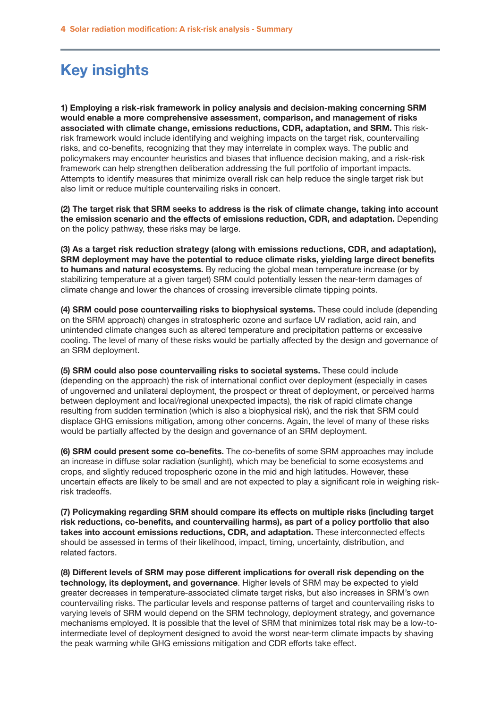### **Key insights**

**1) Employing a risk-risk framework in policy analysis and decision-making concerning SRM would enable a more comprehensive assessment, comparison, and management of risks associated with climate change, emissions reductions, CDR, adaptation, and SRM.** This riskrisk framework would include identifying and weighing impacts on the target risk, countervailing risks, and co-benefits, recognizing that they may interrelate in complex ways. The public and policymakers may encounter heuristics and biases that influence decision making, and a risk-risk framework can help strengthen deliberation addressing the full portfolio of important impacts. Attempts to identify measures that minimize overall risk can help reduce the single target risk but also limit or reduce multiple countervailing risks in concert.

**(2) The target risk that SRM seeks to address is the risk of climate change, taking into account the emission scenario and the effects of emissions reduction, CDR, and adaptation.** Depending on the policy pathway, these risks may be large.

**(3) As a target risk reduction strategy (along with emissions reductions, CDR, and adaptation), SRM deployment may have the potential to reduce climate risks, yielding large direct benefits to humans and natural ecosystems.** By reducing the global mean temperature increase (or by stabilizing temperature at a given target) SRM could potentially lessen the near-term damages of climate change and lower the chances of crossing irreversible climate tipping points.

**(4) SRM could pose countervailing risks to biophysical systems.** These could include (depending on the SRM approach) changes in stratospheric ozone and surface UV radiation, acid rain, and unintended climate changes such as altered temperature and precipitation patterns or excessive cooling. The level of many of these risks would be partially affected by the design and governance of an SRM deployment.

**(5) SRM could also pose countervailing risks to societal systems.** These could include (depending on the approach) the risk of international conflict over deployment (especially in cases of ungoverned and unilateral deployment, the prospect or threat of deployment, or perceived harms between deployment and local/regional unexpected impacts), the risk of rapid climate change resulting from sudden termination (which is also a biophysical risk), and the risk that SRM could displace GHG emissions mitigation, among other concerns. Again, the level of many of these risks would be partially affected by the design and governance of an SRM deployment.

**(6) SRM could present some co-benefits.** The co-benefits of some SRM approaches may include an increase in diffuse solar radiation (sunlight), which may be beneficial to some ecosystems and crops, and slightly reduced tropospheric ozone in the mid and high latitudes. However, these uncertain effects are likely to be small and are not expected to play a significant role in weighing riskrisk tradeoffs.

**(7) Policymaking regarding SRM should compare its effects on multiple risks (including target risk reductions, co-benefits, and countervailing harms), as part of a policy portfolio that also takes into account emissions reductions, CDR, and adaptation.** These interconnected effects should be assessed in terms of their likelihood, impact, timing, uncertainty, distribution, and related factors.

**(8) Different levels of SRM may pose different implications for overall risk depending on the technology, its deployment, and governance**. Higher levels of SRM may be expected to yield greater decreases in temperature-associated climate target risks, but also increases in SRM's own countervailing risks. The particular levels and response patterns of target and countervailing risks to varying levels of SRM would depend on the SRM technology, deployment strategy, and governance mechanisms employed. It is possible that the level of SRM that minimizes total risk may be a low-tointermediate level of deployment designed to avoid the worst near-term climate impacts by shaving the peak warming while GHG emissions mitigation and CDR efforts take effect.